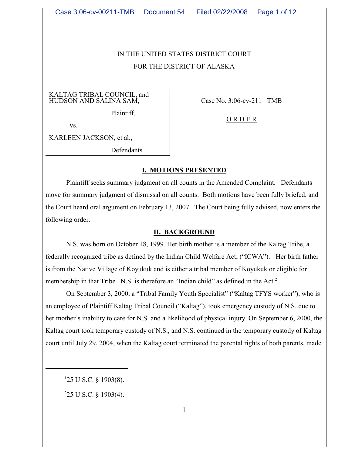# IN THE UNITED STATES DISTRICT COURT FOR THE DISTRICT OF ALASKA

KALTAG TRIBAL COUNCIL, and HUDSON AND SALINA SAM,

Plaintiff,

vs.

KARLEEN JACKSON, et al.,

Defendants.

Case No. 3:06-cv-211 TMB

O R D E R

#### **I. MOTIONS PRESENTED**

Plaintiff seeks summary judgment on all counts in the Amended Complaint. Defendants move for summary judgment of dismissal on all counts. Both motions have been fully briefed, and the Court heard oral argument on February 13, 2007. The Court being fully advised, now enters the following order.

#### **II. BACKGROUND**

 N.S. was born on October 18, 1999. Her birth mother is a member of the Kaltag Tribe, a federally recognized tribe as defined by the Indian Child Welfare Act, ("ICWA").<sup>1</sup> Her birth father is from the Native Village of Koyukuk and is either a tribal member of Koyukuk or eligible for membership in that Tribe. N.S. is therefore an "Indian child" as defined in the Act.<sup>2</sup>

On September 3, 2000, a "Tribal Family Youth Specialist" ("Kaltag TFYS worker"), who is an employee of Plaintiff Kaltag Tribal Council ("Kaltag"), took emergency custody of N.S. due to her mother's inability to care for N.S. and a likelihood of physical injury. On September 6, 2000, the Kaltag court took temporary custody of N.S., and N.S. continued in the temporary custody of Kaltag court until July 29, 2004, when the Kaltag court terminated the parental rights of both parents, made

 $125$  U.S.C. § 1903(8).

 $225$  U.S.C. § 1903(4).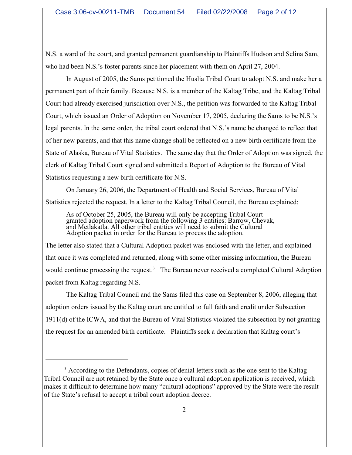N.S. a ward of the court, and granted permanent guardianship to Plaintiffs Hudson and Selina Sam, who had been N.S.'s foster parents since her placement with them on April 27, 2004.

In August of 2005, the Sams petitioned the Huslia Tribal Court to adopt N.S. and make her a permanent part of their family. Because N.S. is a member of the Kaltag Tribe, and the Kaltag Tribal Court had already exercised jurisdiction over N.S., the petition was forwarded to the Kaltag Tribal Court, which issued an Order of Adoption on November 17, 2005, declaring the Sams to be N.S.'s legal parents. In the same order, the tribal court ordered that N.S.'s name be changed to reflect that of her new parents, and that this name change shall be reflected on a new birth certificate from the State of Alaska, Bureau of Vital Statistics. The same day that the Order of Adoption was signed, the clerk of Kaltag Tribal Court signed and submitted a Report of Adoption to the Bureau of Vital Statistics requesting a new birth certificate for N.S.

On January 26, 2006, the Department of Health and Social Services, Bureau of Vital Statistics rejected the request. In a letter to the Kaltag Tribal Council, the Bureau explained:

As of October 25, 2005, the Bureau will only be accepting Tribal Court granted adoption paperwork from the following 3 entities: Barrow, Chevak, and Metlakatla. All other tribal entities will need to submit the Cultural Adoption packet in order for the Bureau to process the adoption.

The letter also stated that a Cultural Adoption packet was enclosed with the letter, and explained that once it was completed and returned, along with some other missing information, the Bureau would continue processing the request.<sup>3</sup> The Bureau never received a completed Cultural Adoption packet from Kaltag regarding N.S.

The Kaltag Tribal Council and the Sams filed this case on September 8, 2006, alleging that adoption orders issued by the Kaltag court are entitled to full faith and credit under Subsection 1911(d) of the ICWA, and that the Bureau of Vital Statistics violated the subsection by not granting the request for an amended birth certificate. Plaintiffs seek a declaration that Kaltag court's

<sup>&</sup>lt;sup>3</sup> According to the Defendants, copies of denial letters such as the one sent to the Kaltag Tribal Council are not retained by the State once a cultural adoption application is received, which makes it difficult to determine how many "cultural adoptions" approved by the State were the result of the State's refusal to accept a tribal court adoption decree.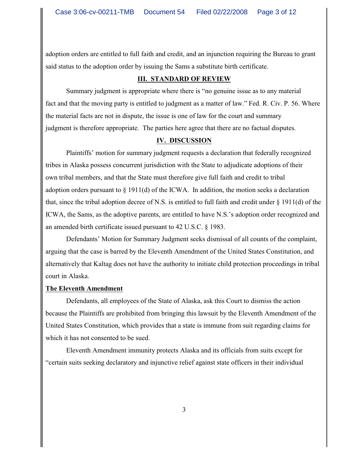adoption orders are entitled to full faith and credit, and an injunction requiring the Bureau to grant said status to the adoption order by issuing the Sams a substitute birth certificate.

#### **III. STANDARD OF REVIEW**

Summary judgment is appropriate where there is "no genuine issue as to any material fact and that the moving party is entitled to judgment as a matter of law." Fed. R. Civ. P. 56. Where the material facts are not in dispute, the issue is one of law for the court and summary judgment is therefore appropriate.The parties here agree that there are no factual disputes.

#### **IV. DISCUSSION**

Plaintiffs' motion for summary judgment requests a declaration that federally recognized tribes in Alaska possess concurrent jurisdiction with the State to adjudicate adoptions of their own tribal members, and that the State must therefore give full faith and credit to tribal adoption orders pursuant to  $\S 1911(d)$  of the ICWA. In addition, the motion seeks a declaration that, since the tribal adoption decree of N.S. is entitled to full faith and credit under § 1911(d) of the ICWA, the Sams, as the adoptive parents, are entitled to have N.S.'s adoption order recognized and an amended birth certificate issued pursuant to 42 U.S.C. § 1983.

Defendants' Motion for Summary Judgment seeks dismissal of all counts of the complaint, arguing that the case is barred by the Eleventh Amendment of the United States Constitution, and alternatively that Kaltag does not have the authority to initiate child protection proceedings in tribal court in Alaska.

#### **The Eleventh Amendment**

Defendants, all employees of the State of Alaska, ask this Court to dismiss the action because the Plaintiffs are prohibited from bringing this lawsuit by the Eleventh Amendment of the United States Constitution, which provides that a state is immune from suit regarding claims for which it has not consented to be sued.

Eleventh Amendment immunity protects Alaska and its officials from suits except for "certain suits seeking declaratory and injunctive relief against state officers in their individual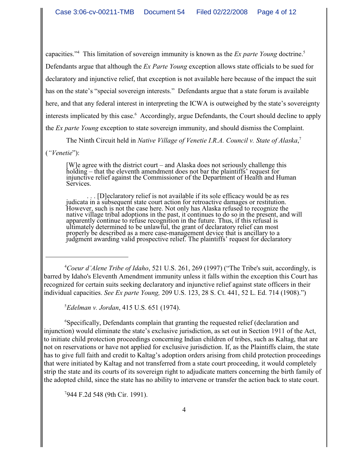capacities."<sup>4</sup> This limitation of sovereign immunity is known as the *Ex parte Young* doctrine.<sup>5</sup> Defendants argue that although the *Ex Parte Young* exception allows state officials to be sued for declaratory and injunctive relief, that exception is not available here because of the impact the suit has on the state's "special sovereign interests." Defendants argue that a state forum is available here, and that any federal interest in interpreting the ICWA is outweighed by the state's sovereignty interests implicated by this case. Accordingly, argue Defendants, the Court should decline to apply the *Ex parte Young* exception to state sovereign immunity, and should dismiss the Complaint.

The Ninth Circuit held in *Native Village of Venetie I.R.A. Council v. State of Alaska*, 7

(*"Venetie*"):

[W]e agree with the district court – and Alaska does not seriously challenge this holding – that the eleventh amendment does not bar the plaintiffs' request for injunctive relief against the Commissioner of the Department of Health and Human Services.

. . . [D]eclaratory relief is not available if its sole efficacy would be as res judicata in a subsequent state court action for retroactive damages or restitution. However, such is not the case here. Not only has Alaska refused to recognize the native village tribal adoptions in the past, it continues to do so in the present, and will apparently continue to refuse recognition in the future. Thus, if this refusal is ultimately determined to be unlawful, the grant of declaratory relief can most properly be described as a mere case-management device that is ancillary to a judgment awarding valid prospective relief. The plaintiffs' request for declaratory

<sup>4</sup> Coeur d'Alene Tribe of Idaho, 521 U.S. 261, 269 (1997) ("The Tribe's suit, accordingly, is barred by Idaho's Eleventh Amendment immunity unless it falls within the exception this Court has recognized for certain suits seeking declaratory and injunctive relief against state officers in their individual capacities. *See Ex parte Young,* 209 U.S. 123, 28 S. Ct. 441, 52 L. Ed. 714 (1908).")

*Edelman v. Jordan,* 415 U.S. 651 (1974).

Specifically, Defendants complain that granting the requested relief (declaration and <sup>6</sup> injunction) would eliminate the state's exclusive jurisdiction, as set out in Section 1911 of the Act, to initiate child protection proceedings concerning Indian children of tribes, such as Kaltag, that are not on reservations or have not applied for exclusive jurisdiction. If, as the Plaintiffs claim, the state has to give full faith and credit to Kaltag's adoption orders arising from child protection proceedings that were initiated by Kaltag and not transferred from a state court proceeding, it would completely strip the state and its courts of its sovereign right to adjudicate matters concerning the birth family of the adopted child, since the state has no ability to intervene or transfer the action back to state court.

 $7944$  F.2d 548 (9th Cir. 1991).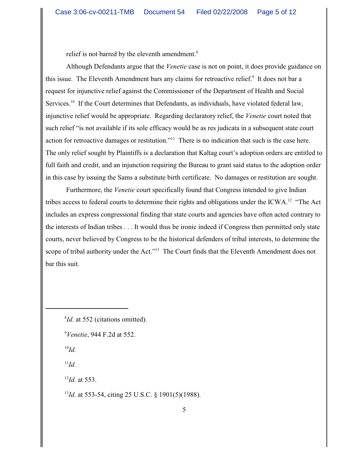relief is not barred by the eleventh amendment.<sup>8</sup>

Although Defendants argue that the *Venetie* case is not on point, it does provide guidance on this issue. The Eleventh Amendment bars any claims for retroactive relief.<sup>9</sup> It does not bar a request for injunctive relief against the Commissioner of the Department of Health and Social Services.<sup>10</sup> If the Court determines that Defendants, as individuals, have violated federal law, injunctive relief would be appropriate. Regarding declaratory relief, the *Venetie* court noted that such relief "is not available if its sole efficacy would be as res judicata in a subsequent state court action for retroactive damages or restitution."<sup>11</sup> There is no indication that such is the case here. The only relief sought by Plaintiffs is a declaration that Kaltag court's adoption orders are entitled to full faith and credit, and an injunction requiring the Bureau to grant said status to the adoption order in this case by issuing the Sams a substitute birth certificate. No damages or restitution are sought.

Furthermore, the *Venetie* court specifically found that Congress intended to give Indian tribes access to federal courts to determine their rights and obligations under the ICWA.<sup>12</sup> "The Act includes an express congressional finding that state courts and agencies have often acted contrary to the interests of Indian tribes . . . It would thus be ironic indeed if Congress then permitted only state courts, never believed by Congress to be the historical defenders of tribal interests, to determine the scope of tribal authority under the Act."<sup>13</sup> The Court finds that the Eleventh Amendment does not bar this suit.

 $^{10}Id.$ 

 $^{11}Id.$ 

 $^{12}$ *Id.* at 553.

<sup>13</sup>Id. at 553-54, citing 25 U.S.C. § 1901(5)(1988).

<sup>&</sup>lt;sup>8</sup>*Id.* at 552 (citations omitted).

<sup>&</sup>lt;sup>9</sup>Venetie, 944 F.2d at 552.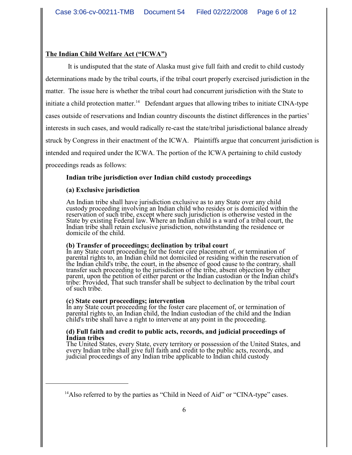#### **The Indian Child Welfare Act ("ICWA")**

 It is undisputed that the state of Alaska must give full faith and credit to child custody determinations made by the tribal courts, if the tribal court properly exercised jurisdiction in the matter. The issue here is whether the tribal court had concurrent jurisdiction with the State to initiate a child protection matter.<sup>14</sup> Defendant argues that allowing tribes to initiate CINA-type cases outside of reservations and Indian country discounts the distinct differences in the parties' interests in such cases, and would radically re-cast the state/tribal jurisdictional balance already struck by Congress in their enactment of the ICWA. Plaintiffs argue that concurrent jurisdiction is intended and required under the ICWA. The portion of the ICWA pertaining to child custody proceedings reads as follows:

#### **Indian tribe jurisdiction over Indian child custody proceedings**

#### **(a) Exclusive jurisdiction**

An Indian tribe shall have jurisdiction exclusive as to any State over any child custody proceeding involving an Indian child who resides or is domiciled within the reservation of such tribe, except where such jurisdiction is otherwise vested in the State by existing Federal law. Where an Indian child is a ward of a tribal court, the Indian tribe shall retain exclusive jurisdiction, notwithstanding the residence or domicile of the child.

#### **(b) Transfer of proceedings; declination by tribal court**

In any State court proceeding for the foster care placement of, or termination of parental rights to, an Indian child not domiciled or residing within the reservation of the Indian child's tribe, the court, in the absence of good cause to the contrary, shall transfer such proceeding to the jurisdiction of the tribe, absent objection by either parent, upon the petition of either parent or the Indian custodian or the Indian child's tribe: Provided, That such transfer shall be subject to declination by the tribal court of such tribe.

#### **(c) State court proceedings; intervention**

In any State court proceeding for the foster care placement of, or termination of parental rights to, an Indian child, the Indian custodian of the child and the Indian child's tribe shall have a right to intervene at any point in the proceeding.

#### **(d) Full faith and credit to public acts, records, and judicial proceedings of Indian tribes**

The United States, every State, every territory or possession of the United States, and every Indian tribe shall give full faith and credit to the public acts, records, and judicial proceedings of any Indian tribe applicable to Indian child custody

 $^{14}$ Also referred to by the parties as "Child in Need of Aid" or "CINA-type" cases.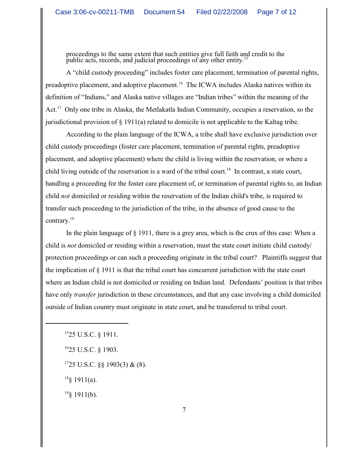proceedings to the same extent that such entities give full faith and credit to the public acts, records, and judicial proceedings of any other entity.<sup>15</sup>

A "child custody proceeding" includes foster care placement, termination of parental rights, preadoptive placement, and adoptive placement.<sup>16</sup> The ICWA includes Alaska natives within its definition of "Indians," and Alaska native villages are "Indian tribes" within the meaning of the Act.<sup>17</sup> Only one tribe in Alaska, the Metlakatla Indian Community, occupies a reservation, so the jurisdictional provision of § 1911(a) related to domicile is not applicable to the Kaltag tribe.

According to the plain language of the ICWA, a tribe shall have exclusive jurisdiction over child custody proceedings (foster care placement, termination of parental rights, preadoptive placement, and adoptive placement) where the child is living within the reservation, or where a child living outside of the reservation is a ward of the tribal court.<sup>18</sup> In contrast, a state court, handling a proceeding for the foster care placement of, or termination of parental rights to, an Indian child *not* domiciled or residing within the reservation of the Indian child's tribe, is required to transfer such proceeding to the jurisdiction of the tribe, in the absence of good cause to the contrary.<sup>19</sup>

In the plain language of § 1911, there is a grey area, which is the crux of this case: When a child is *not* domiciled or residing within a reservation, must the state court initiate child custody/ protection proceedings or can such a proceeding originate in the tribal court? Plaintiffs suggest that the implication of § 1911 is that the tribal court has concurrent jurisdiction with the state court where an Indian child is not domiciled or residing on Indian land. Defendants' position is that tribes have only *transfer* jurisdiction in these circumstances, and that any case involving a child domiciled outside of Indian country must originate in state court, and be transferred to tribal court.

 $1525$  U.S.C. § 1911.

 $1625$  U.S.C. § 1903.

 $1725$  U.S.C. §§ 1903(3) & (8).

 $18$ § 1911(a).

 $^{19}$ § 1911(b).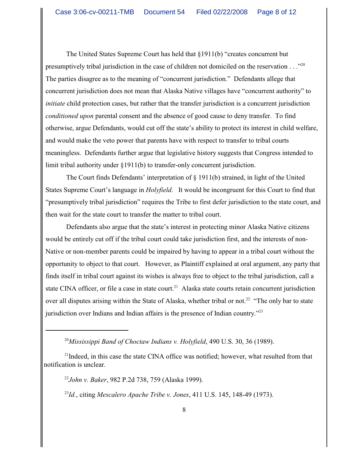The United States Supreme Court has held that §1911(b) "creates concurrent but presumptively tribal jurisdiction in the case of children not domiciled on the reservation  $\ldots$ <sup>20</sup> The parties disagree as to the meaning of "concurrent jurisdiction." Defendants allege that concurrent jurisdiction does not mean that Alaska Native villages have "concurrent authority" to *initiate* child protection cases, but rather that the transfer jurisdiction is a concurrent jurisdiction *conditioned upon* parental consent and the absence of good cause to deny transfer. To find otherwise, argue Defendants, would cut off the state's ability to protect its interest in child welfare, and would make the veto power that parents have with respect to transfer to tribal courts meaningless. Defendants further argue that legislative history suggests that Congress intended to limit tribal authority under §1911(b) to transfer-only concurrent jurisdiction.

The Court finds Defendants' interpretation of § 1911(b) strained, in light of the United States Supreme Court's language in *Holyfield*. It would be incongruent for this Court to find that "presumptively tribal jurisdiction" requires the Tribe to first defer jurisdiction to the state court, and then wait for the state court to transfer the matter to tribal court.

Defendants also argue that the state's interest in protecting minor Alaska Native citizens would be entirely cut off if the tribal court could take jurisdiction first, and the interests of non-Native or non-member parents could be impaired by having to appear in a tribal court without the opportunity to object to that court. However, as Plaintiff explained at oral argument, any party that finds itself in tribal court against its wishes is always free to object to the tribal jurisdiction, call a state CINA officer, or file a case in state court.<sup>21</sup> Alaska state courts retain concurrent jurisdiction over all disputes arising within the State of Alaska, whether tribal or not.<sup>22</sup> "The only bar to state jurisdiction over Indians and Indian affairs is the presence of Indian country."<sup>23</sup>

*John v. Baker*, 982 P.2d 738, 759 (Alaska 1999). 22

 $^{23}Id$ , citing *Mescalero Apache Tribe v. Jones*, 411 U.S. 145, 148-49 (1973).

<sup>&</sup>lt;sup>20</sup>Mississippi Band of Choctaw Indians v. Holyfield, 490 U.S. 30, 36 (1989).

 $21$ Indeed, in this case the state CINA office was notified; however, what resulted from that notification is unclear.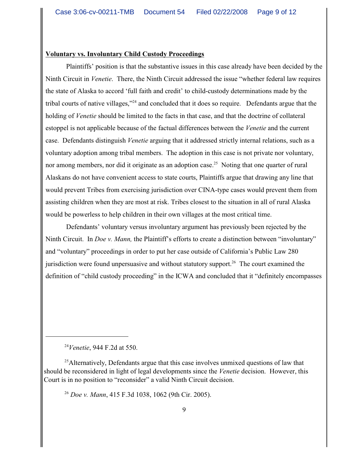#### **Voluntary vs. Involuntary Child Custody Proceedings**

Plaintiffs' position is that the substantive issues in this case already have been decided by the Ninth Circuit in *Venetie*. There, the Ninth Circuit addressed the issue "whether federal law requires the state of Alaska to accord 'full faith and credit' to child-custody determinations made by the tribal courts of native villages," and concluded that it does so require. Defendants argue that the holding of *Venetie* should be limited to the facts in that case, and that the doctrine of collateral estoppel is not applicable because of the factual differences between the *Venetie* and the current case. Defendants distinguish *Venetie* arguing that it addressed strictly internal relations, such as a voluntary adoption among tribal members. The adoption in this case is not private nor voluntary, nor among members, nor did it originate as an adoption case.<sup>25</sup> Noting that one quarter of rural Alaskans do not have convenient access to state courts, Plaintiffs argue that drawing any line that would prevent Tribes from exercising jurisdiction over CINA-type cases would prevent them from assisting children when they are most at risk. Tribes closest to the situation in all of rural Alaska would be powerless to help children in their own villages at the most critical time.

Defendants' voluntary versus involuntary argument has previously been rejected by the Ninth Circuit. In *Doe v. Mann,* the Plaintiff's efforts to create a distinction between "involuntary" and "voluntary" proceedings in order to put her case outside of California's Public Law 280 jurisdiction were found unpersuasive and without statutory support.<sup>26</sup> The court examined the definition of "child custody proceeding" in the ICWA and concluded that it "definitely encompasses

<sup>24</sup>Venetie, 944 F.2d at 550.

 $<sup>25</sup>$ Alternatively, Defendants argue that this case involves unmixed questions of law that</sup> should be reconsidered in light of legal developments since the *Venetie* decision. However, this Court is in no position to "reconsider" a valid Ninth Circuit decision.

*Doe v. Mann*, 415 F.3d 1038, 1062 (9th Cir. 2005). <sup>26</sup>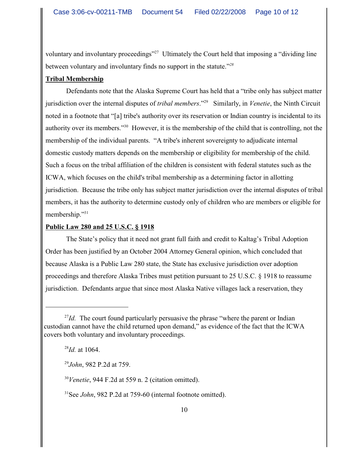voluntary and involuntary proceedings"<sup>27</sup> Ultimately the Court held that imposing a "dividing line" between voluntary and involuntary finds no support in the statute."*<sup>28</sup>*

## **Tribal Membership**

Defendants note that the Alaska Supreme Court has held that a "tribe only has subject matter jurisdiction over the internal disputes of *tribal members*."<sup>29</sup> Similarly, in *Venetie*, the Ninth Circuit noted in a footnote that "[a] tribe's authority over its reservation or Indian country is incidental to its authority over its members."<sup>30</sup> However, it is the membership of the child that is controlling, not the membership of the individual parents. "A tribe's inherent sovereignty to adjudicate internal domestic custody matters depends on the membership or eligibility for membership of the child. Such a focus on the tribal affiliation of the children is consistent with federal statutes such as the ICWA, which focuses on the child's tribal membership as a determining factor in allotting jurisdiction. Because the tribe only has subject matter jurisdiction over the internal disputes of tribal members, it has the authority to determine custody only of children who are members or eligible for membership."31

### **Public Law 280 and 25 U.S.C. § 1918**

The State's policy that it need not grant full faith and credit to Kaltag's Tribal Adoption Order has been justified by an October 2004 Attorney General opinion, which concluded that because Alaska is a Public Law 280 state, the State has exclusive jurisdiction over adoption proceedings and therefore Alaska Tribes must petition pursuant to 25 U.S.C. § 1918 to reassume jurisdiction. Defendants argue that since most Alaska Native villages lack a reservation, they

 $30$  Venetie, 944 F.2d at 559 n. 2 (citation omitted).

<sup>31</sup>See *John*, 982 P.2d at 759-60 (internal footnote omitted).

 $\frac{27}{d}$ . The court found particularly persuasive the phrase "where the parent or Indian" custodian cannot have the child returned upon demand," as evidence of the fact that the ICWA covers both voluntary and involuntary proceedings.

 $^{28}$ *Id.* at 1064.

<sup>&</sup>lt;sup>29</sup>John, 982 P.2d at 759.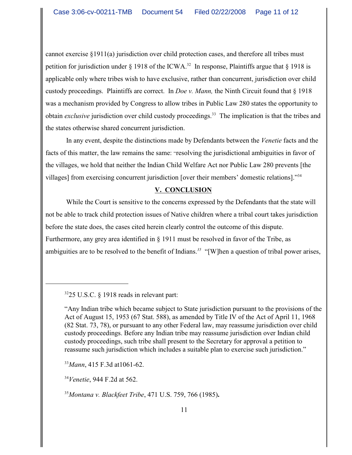cannot exercise §1911(a) jurisdiction over child protection cases, and therefore all tribes must petition for jurisdiction under § 1918 of the ICWA.<sup>32</sup> In response, Plaintiffs argue that § 1918 is applicable only where tribes wish to have exclusive, rather than concurrent, jurisdiction over child custody proceedings. Plaintiffs are correct. In *Doe v. Mann,* the Ninth Circuit found that § 1918 was a mechanism provided by Congress to allow tribes in Public Law 280 states the opportunity to obtain *exclusive* jurisdiction over child custody proceedings.<sup>33</sup> The implication is that the tribes and the states otherwise shared concurrent jurisdiction.

In any event, despite the distinctions made by Defendants between the *Venetie* facts and the facts of this matter, the law remains the same: "resolving the jurisdictional ambiguities in favor of the villages, we hold that neither the Indian Child Welfare Act nor Public Law 280 prevents [the villages] from exercising concurrent jurisdiction [over their members' domestic relations]."<sup>34</sup>

## **V. CONCLUSION**

While the Court is sensitive to the concerns expressed by the Defendants that the state will not be able to track child protection issues of Native children where a tribal court takes jurisdiction before the state does, the cases cited herein clearly control the outcome of this dispute. Furthermore, any grey area identified in § 1911 must be resolved in favor of the Tribe, as ambiguities are to be resolved to the benefit of Indians.<sup>35</sup> "[W]hen a question of tribal power arises,

<sup>34</sup>Venetie, 944 F.2d at 562.

*Montana v. Blackfeet Tribe*, 471 U.S. 759, 766 (1985)**.** 35

 $3225$  U.S.C. § 1918 reads in relevant part:

<sup>&</sup>quot;Any Indian tribe which became subject to State jurisdiction pursuant to the provisions of the Act of August 15, 1953 (67 Stat. 588), as amended by Title IV of the Act of April 11, 1968 (82 Stat. 73, 78), or pursuant to any other Federal law, may reassume jurisdiction over child custody proceedings. Before any Indian tribe may reassume jurisdiction over Indian child custody proceedings, such tribe shall present to the Secretary for approval a petition to reassume such jurisdiction which includes a suitable plan to exercise such jurisdiction."

<sup>&</sup>lt;sup>33</sup>Mann, 415 F.3d at 1061-62.